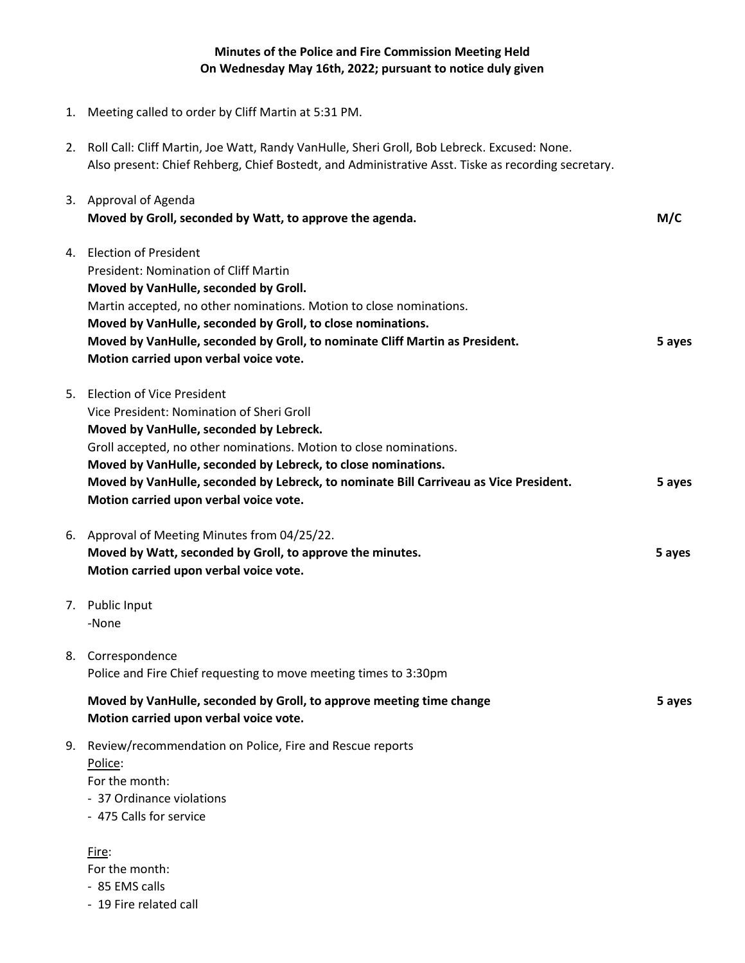## **Minutes of the Police and Fire Commission Meeting Held On Wednesday May 16th, 2022; pursuant to notice duly given**

- 1. Meeting called to order by Cliff Martin at 5:31 PM.
- 2. Roll Call: Cliff Martin, Joe Watt, Randy VanHulle, Sheri Groll, Bob Lebreck. Excused: None. Also present: Chief Rehberg, Chief Bostedt, and Administrative Asst. Tiske as recording secretary.

|    | 3. Approval of Agenda<br>Moved by Groll, seconded by Watt, to approve the agenda.                                                                                                                                                                                                                                                                                                                   | M/C    |
|----|-----------------------------------------------------------------------------------------------------------------------------------------------------------------------------------------------------------------------------------------------------------------------------------------------------------------------------------------------------------------------------------------------------|--------|
| 4. | <b>Election of President</b><br>President: Nomination of Cliff Martin<br>Moved by VanHulle, seconded by Groll.<br>Martin accepted, no other nominations. Motion to close nominations.<br>Moved by VanHulle, seconded by Groll, to close nominations.<br>Moved by VanHulle, seconded by Groll, to nominate Cliff Martin as President.<br>Motion carried upon verbal voice vote.                      | 5 ayes |
| 5. | <b>Election of Vice President</b><br>Vice President: Nomination of Sheri Groll<br>Moved by VanHulle, seconded by Lebreck.<br>Groll accepted, no other nominations. Motion to close nominations.<br>Moved by VanHulle, seconded by Lebreck, to close nominations.<br>Moved by VanHulle, seconded by Lebreck, to nominate Bill Carriveau as Vice President.<br>Motion carried upon verbal voice vote. | 5 ayes |
|    | 6. Approval of Meeting Minutes from 04/25/22.<br>Moved by Watt, seconded by Groll, to approve the minutes.<br>Motion carried upon verbal voice vote.                                                                                                                                                                                                                                                | 5 ayes |
|    | 7. Public Input<br>-None                                                                                                                                                                                                                                                                                                                                                                            |        |
|    | 8. Correspondence<br>Police and Fire Chief requesting to move meeting times to 3:30pm                                                                                                                                                                                                                                                                                                               |        |
|    | Moved by VanHulle, seconded by Groll, to approve meeting time change<br>Motion carried upon verbal voice vote.                                                                                                                                                                                                                                                                                      | 5 ayes |
| 9. | Review/recommendation on Police, Fire and Rescue reports<br>Police:<br>For the month:<br>- 37 Ordinance violations<br>- 475 Calls for service                                                                                                                                                                                                                                                       |        |
|    | Fire:<br>For the month:                                                                                                                                                                                                                                                                                                                                                                             |        |

- 85 EMS calls
- 19 Fire related call